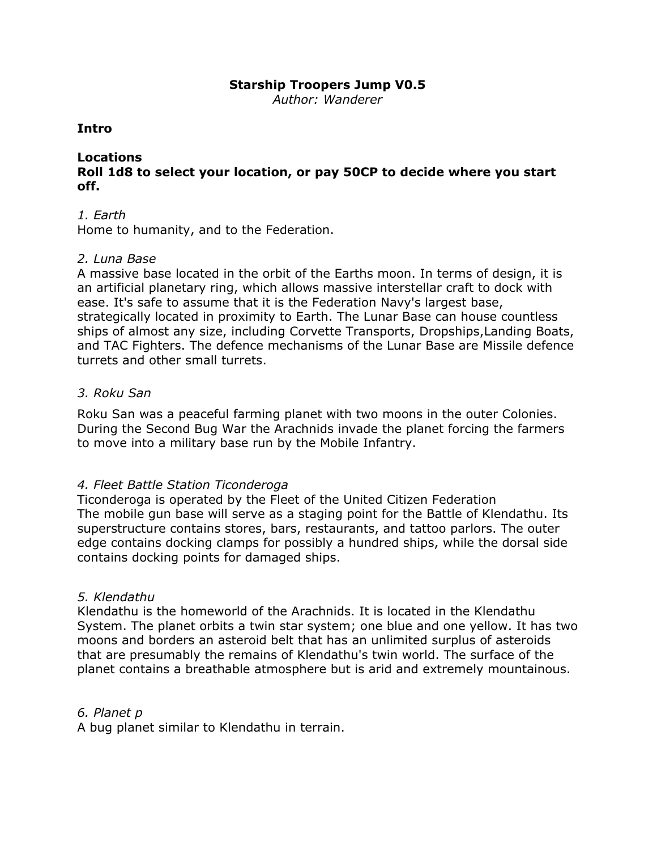# **Starship Troopers Jump V0.5**

*Author: Wanderer*

# **Intro**

# **Locations**

# **Roll 1d8 to select your location, or pay 50CP to decide where you start off.**

# *1. Earth*

Home to humanity, and to the Federation.

# *2. Luna Base*

A massive base located in the orbit of the Earths moon. In terms of design, it is an artificial planetary ring, which allows massive interstellar craft to dock with ease. It's safe to assume that it is the Federation Navy's largest base, strategically located in proximity to Earth. The Lunar Base can house countless ships of almost any size, including Corvette Transports, Dropships,Landing Boats, and TAC Fighters. The defence mechanisms of the Lunar Base are Missile [defence](http://starshiptroopers.wikia.com/wiki/Missile_defence_turret) [turrets](http://starshiptroopers.wikia.com/wiki/Missile_defence_turret) and other small turrets.

# *3. Roku San*

Roku San was a peaceful farming planet with two moons in the outer Colonies. During the Second Bug War the Arachnids invade the planet forcing the farmers to move into a military base run by the Mobile Infantry.

# *4. Fleet Battle Station Ticonderoga*

Ticonderoga is operated by the Fleet of the United Citizen Federation The mobile gun base will serve as a staging point for the Battle of Klendathu. Its superstructure contains stores, bars, restaurants, and tattoo parlors. The outer edge contains docking clamps for possibly a hundred ships, while the dorsal side contains docking points for damaged ships.

## *5. Klendathu*

Klendathu is the homeworld of the Arachnids. It is located in the Klendathu System. The planet orbits a twin star system; one blue and one yellow. It has two moons and borders an asteroid belt that has an unlimited surplus of asteroids that are presumably the remains of Klendathu's twin world. The surface of the planet contains a breathable atmosphere but is arid and extremely mountainous.

## *6. Planet p*

A bug planet similar to Klendathu in terrain.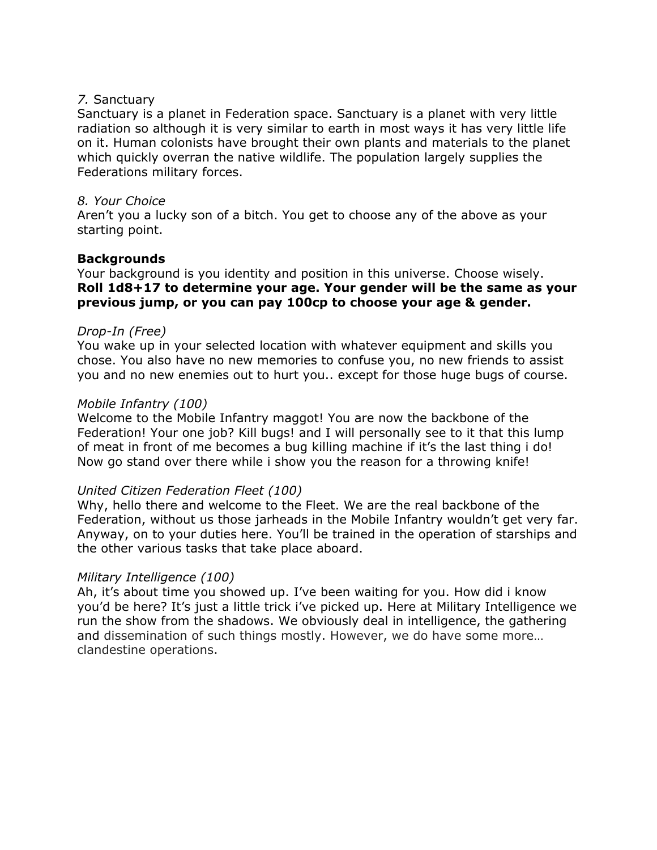# *7.* Sanctuary

Sanctuary is a planet in Federation space. Sanctuary is a planet with very little radiation so although it is very similar to earth in most ways it has very little life on it. Human colonists have brought their own plants and materials to the planet which quickly overran the native wildlife. The population largely supplies the Federations military forces.

# *8. Your Choice*

Aren't you a lucky son of a bitch. You get to choose any of the above as your starting point.

# **Backgrounds**

Your background is you identity and position in this universe. Choose wisely. **Roll 1d8+17 to determine your age. Your gender will be the same as your previous jump, or you can pay 100cp to choose your age & gender.**

# *Drop-In (Free)*

You wake up in your selected location with whatever equipment and skills you chose. You also have no new memories to confuse you, no new friends to assist you and no new enemies out to hurt you.. except for those huge bugs of course.

# *Mobile Infantry (100)*

Welcome to the Mobile Infantry maggot! You are now the backbone of the Federation! Your one job? Kill bugs! and I will personally see to it that this lump of meat in front of me becomes a bug killing machine if it's the last thing i do! Now go stand over there while i show you the reason for a throwing knife!

# *United Citizen Federation Fleet (100)*

Why, hello there and welcome to the Fleet. We are the real backbone of the Federation, without us those jarheads in the Mobile Infantry wouldn't get very far. Anyway, on to your duties here. You'll be trained in the operation of starships and the other various tasks that take place aboard.

## *Military Intelligence (100)*

Ah, it's about time you showed up. I've been waiting for you. How did i know you'd be here? It's just a little trick i've picked up. Here at Military Intelligence we run the show from the shadows. We obviously deal in intelligence, the gathering and dissemination of such things mostly. However, we do have some more… clandestine operations.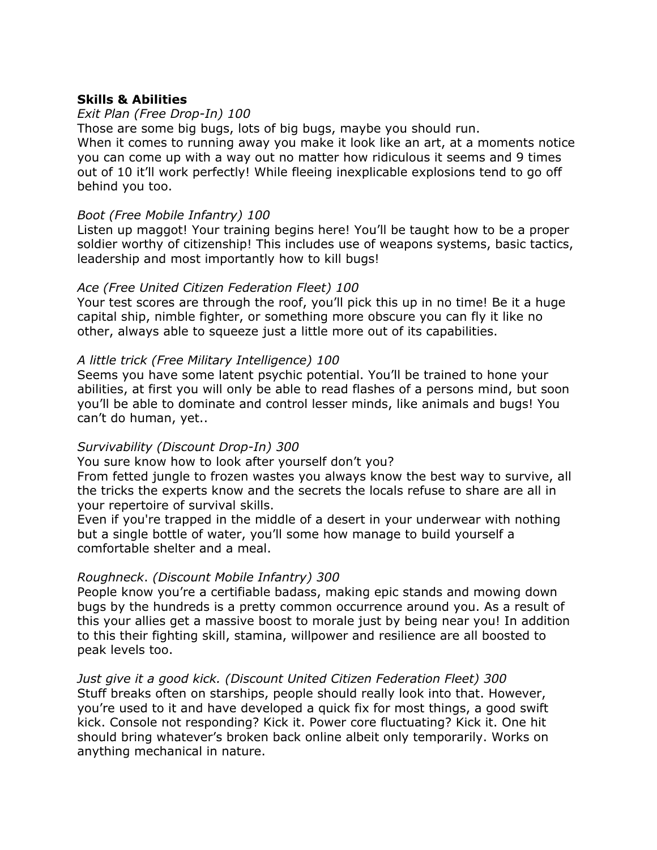# **Skills & Abilities**

#### *Exit Plan (Free Drop-In) 100*

Those are some big bugs, lots of big bugs, maybe you should run. When it comes to running away you make it look like an art, at a moments notice you can come up with a way out no matter how ridiculous it seems and 9 times out of 10 it'll work perfectly! While fleeing inexplicable explosions tend to go off behind you too.

#### *Boot (Free Mobile Infantry) 100*

Listen up maggot! Your training begins here! You'll be taught how to be a proper soldier worthy of citizenship! This includes use of weapons systems, basic tactics, leadership and most importantly how to kill bugs!

#### *Ace (Free United Citizen Federation Fleet) 100*

Your test scores are through the roof, you'll pick this up in no time! Be it a huge capital ship, nimble fighter, or something more obscure you can fly it like no other, always able to squeeze just a little more out of its capabilities.

#### *A little trick (Free Military Intelligence) 100*

Seems you have some latent psychic potential. You'll be trained to hone your abilities, at first you will only be able to read flashes of a persons mind, but soon you'll be able to dominate and control lesser minds, like animals and bugs! You can't do human, yet..

#### *Survivability (Discount Drop-In) 300*

You sure know how to look after yourself don't you?

From fetted jungle to frozen wastes you always know the best way to survive, all the tricks the experts know and the secrets the locals refuse to share are all in your repertoire of survival skills.

Even if you're trapped in the middle of a desert in your underwear with nothing but a single bottle of water, you'll some how manage to build yourself a comfortable shelter and a meal.

#### *Roughneck*. *(Discount Mobile Infantry) 300*

People know you're a certifiable badass, making epic stands and mowing down bugs by the hundreds is a pretty common occurrence around you. As a result of this your allies get a massive boost to morale just by being near you! In addition to this their fighting skill, stamina, willpower and resilience are all boosted to peak levels too.

# *Just give it a good kick. (Discount United Citizen Federation Fleet) 300*

Stuff breaks often on starships, people should really look into that. However, you're used to it and have developed a quick fix for most things, a good swift kick. Console not responding? Kick it. Power core fluctuating? Kick it. One hit should bring whatever's broken back online albeit only temporarily. Works on anything mechanical in nature.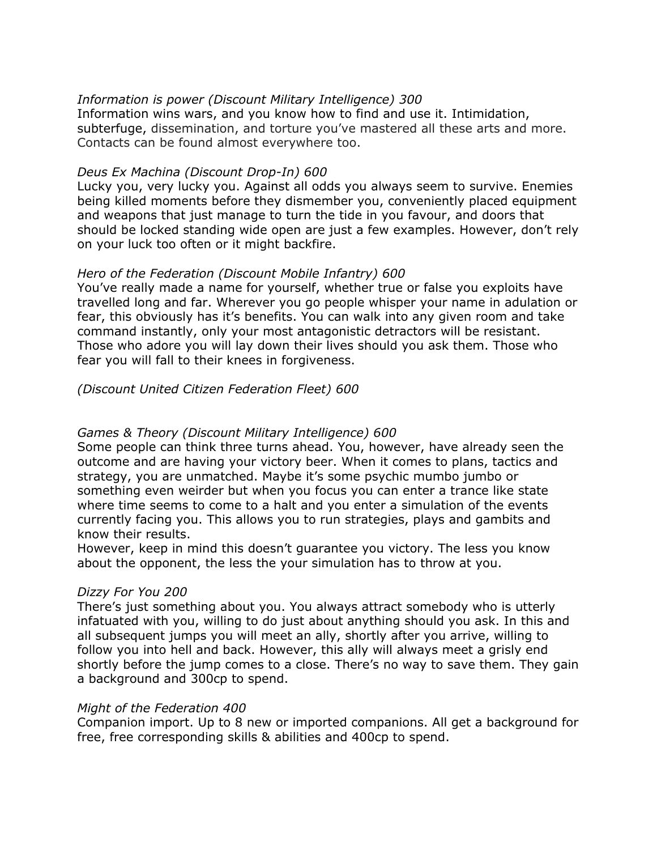# *Information is power (Discount Military Intelligence) 300*

Information wins wars, and you know how to find and use it. Intimidation, subterfuge, dissemination, and torture you've mastered all these arts and more. Contacts can be found almost everywhere too.

# *Deus Ex Machina (Discount Drop-In) 600*

Lucky you, very lucky you. Against all odds you always seem to survive. Enemies being killed moments before they dismember you, conveniently placed equipment and weapons that just manage to turn the tide in you favour, and doors that should be locked standing wide open are just a few examples. However, don't rely on your luck too often or it might backfire.

# *Hero of the Federation (Discount Mobile Infantry) 600*

You've really made a name for yourself, whether true or false you exploits have travelled long and far. Wherever you go people whisper your name in adulation or fear, this obviously has it's benefits. You can walk into any given room and take command instantly, only your most antagonistic detractors will be resistant. Those who adore you will lay down their lives should you ask them. Those who fear you will fall to their knees in forgiveness.

# *(Discount United Citizen Federation Fleet) 600*

# *Games & Theory (Discount Military Intelligence) 600*

Some people can think three turns ahead. You, however, have already seen the outcome and are having your victory beer. When it comes to plans, tactics and strategy, you are unmatched. Maybe it's some psychic mumbo jumbo or something even weirder but when you focus you can enter a trance like state where time seems to come to a halt and you enter a simulation of the events currently facing you. This allows you to run strategies, plays and gambits and know their results.

However, keep in mind this doesn't guarantee you victory. The less you know about the opponent, the less the your simulation has to throw at you.

## *Dizzy For You 200*

There's just something about you. You always attract somebody who is utterly infatuated with you, willing to do just about anything should you ask. In this and all subsequent jumps you will meet an ally, shortly after you arrive, willing to follow you into hell and back. However, this ally will always meet a grisly end shortly before the jump comes to a close. There's no way to save them. They gain a background and 300cp to spend.

## *Might of the Federation 400*

Companion import. Up to 8 new or imported companions. All get a background for free, free corresponding skills & abilities and 400cp to spend.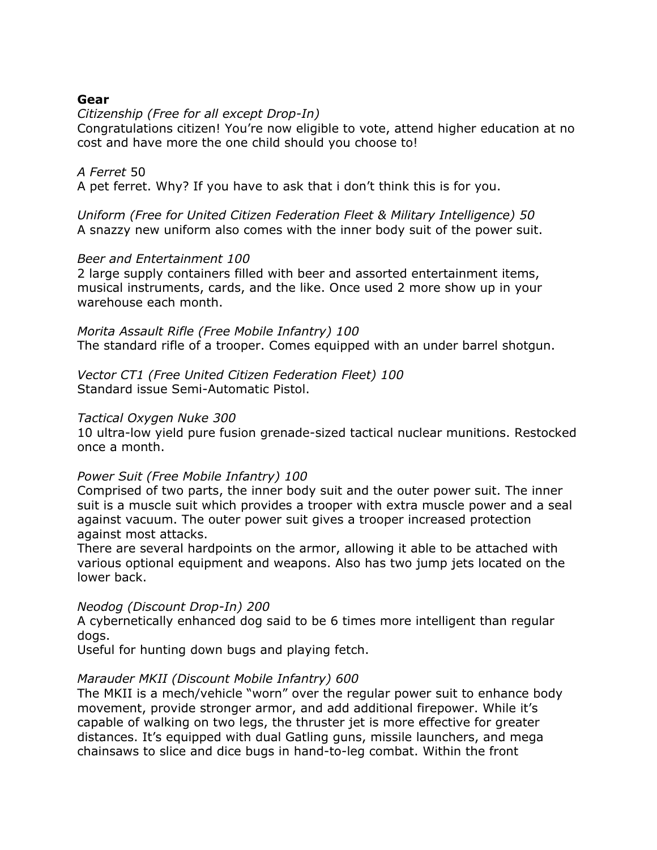# **Gear**

*Citizenship (Free for all except Drop-In)*

Congratulations citizen! You're now eligible to vote, attend higher education at no cost and have more the one child should you choose to!

# *A Ferret* 50

A pet ferret. Why? If you have to ask that i don't think this is for you.

*Uniform (Free for United Citizen Federation Fleet & Military Intelligence) 50* A snazzy new uniform also comes with the inner body suit of the power suit.

## *Beer and Entertainment 100*

2 large supply containers filled with beer and assorted entertainment items, musical instruments, cards, and the like. Once used 2 more show up in your warehouse each month.

*Morita Assault Rifle (Free Mobile Infantry) 100* The standard rifle of a trooper. Comes equipped with an under barrel shotgun.

*Vector CT1 (Free United Citizen Federation Fleet) 100* Standard issue Semi-Automatic Pistol.

## *Tactical Oxygen Nuke 300*

10 ultra-low yield pure fusion grenade-sized tactical nuclear munitions. Restocked once a month.

## *Power Suit (Free Mobile Infantry) 100*

Comprised of two parts, the inner body suit and the outer power suit. The inner suit is a muscle suit which provides a trooper with extra muscle power and a seal against vacuum. The outer power suit gives a trooper increased protection against most attacks.

There are several hardpoints on the armor, allowing it able to be attached with various optional equipment and weapons. Also has two jump jets located on the lower back.

## *Neodog (Discount Drop-In) 200*

A cybernetically enhanced dog said to be 6 times more intelligent than regular dogs.

Useful for hunting down bugs and playing fetch.

## *Marauder MKII (Discount Mobile Infantry) 600*

The MKII is a mech/vehicle "worn" over the regular power suit to enhance body movement, provide stronger armor, and add additional firepower. While it's capable of walking on two legs, the thruster jet is more effective for greater distances. It's equipped with dual Gatling guns, missile launchers, and mega chainsaws to slice and dice bugs in hand-to-leg combat. Within the front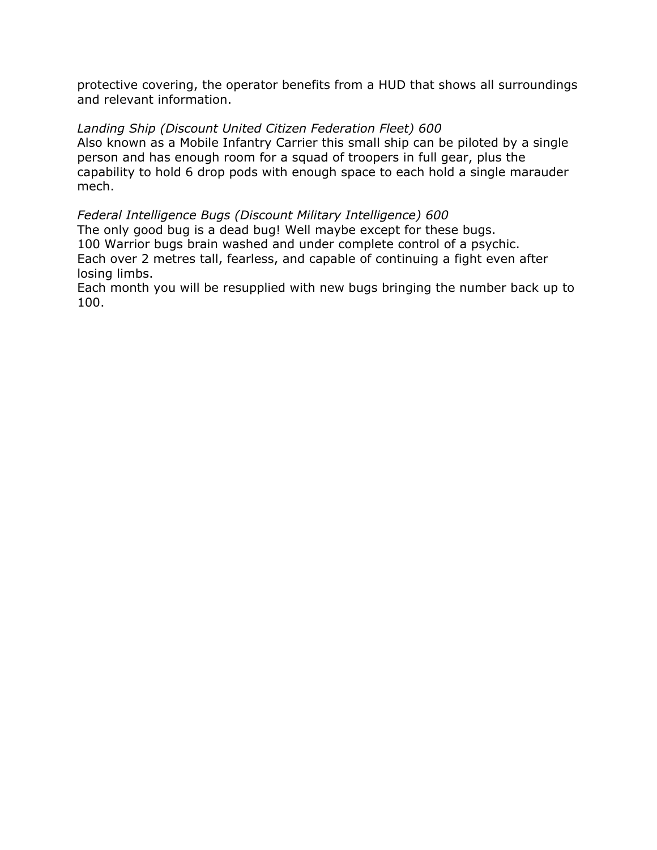protective covering, the operator benefits from a HUD that shows all surroundings and relevant information.

# *Landing Ship (Discount United Citizen Federation Fleet) 600*

Also known as a Mobile Infantry Carrier this small ship can be piloted by a single person and has enough room for a squad of troopers in full gear, plus the capability to hold 6 drop pods with enough space to each hold a single marauder mech.

## *Federal Intelligence Bugs (Discount Military Intelligence) 600* The only good bug is a dead bug! Well maybe except for these bugs. 100 Warrior bugs brain washed and under complete control of a psychic. Each over 2 metres tall, fearless, and capable of continuing a fight even after losing limbs.

Each month you will be resupplied with new bugs bringing the number back up to 100.